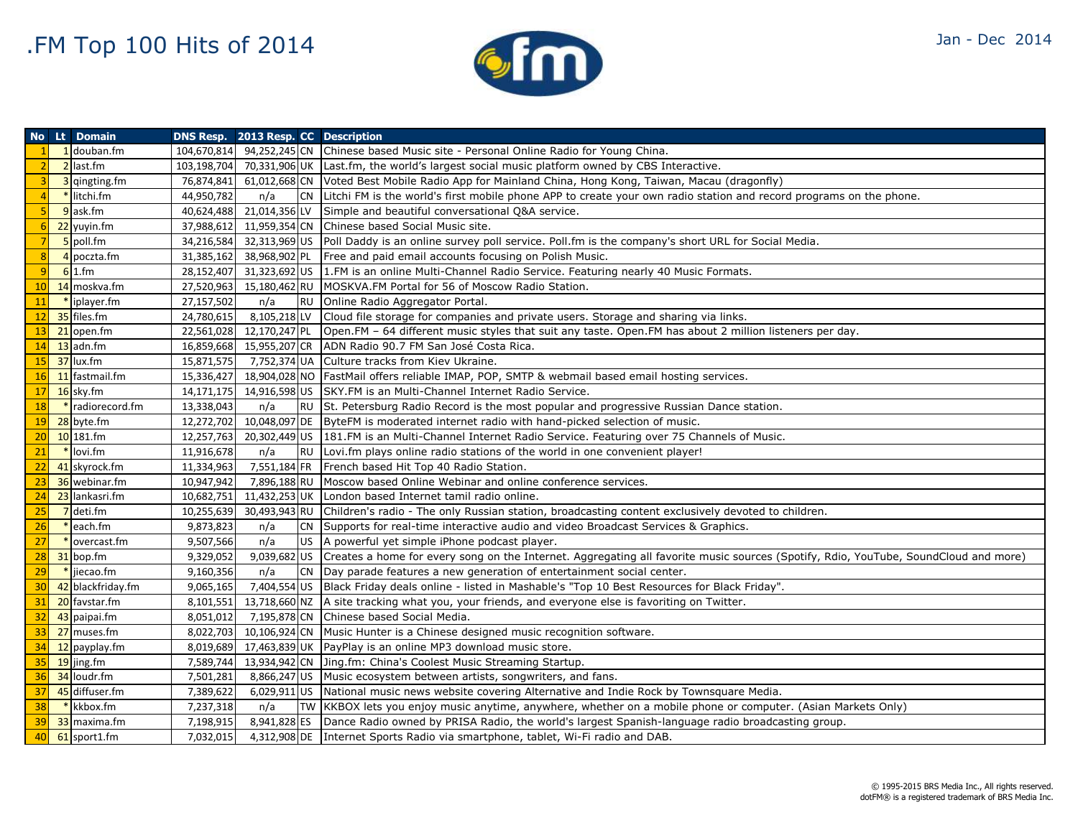

|                | No Lt Domain      | DNS Resp. 2013 Resp. CC Description |               |           |                                                                                                                                                    |
|----------------|-------------------|-------------------------------------|---------------|-----------|----------------------------------------------------------------------------------------------------------------------------------------------------|
|                | 1 douban.fm       | 104,670,814                         |               |           | 94,252,245 CN Chinese based Music site - Personal Online Radio for Young China.                                                                    |
|                | 2 last.fm         | 103,198,704                         |               |           | 70,331,906 UK Last.fm, the world's largest social music platform owned by CBS Interactive.                                                         |
|                | 3 qingting.fm     | 76,874,841                          |               |           | 61,012,668 CN Voted Best Mobile Radio App for Mainland China, Hong Kong, Taiwan, Macau (dragonfly)                                                 |
|                | * litchi.fm       | 44,950,782                          | n/a           |           | CN Litchi FM is the world's first mobile phone APP to create your own radio station and record programs on the phone.                              |
|                | 9 ask.fm          | 40,624,488                          | 21,014,356 LV |           | Simple and beautiful conversational Q&A service.                                                                                                   |
|                | 22 yuyin.fm       | 37,988,612                          |               |           | 11,959,354 CN Chinese based Social Music site.                                                                                                     |
|                | 5 poll.fm         | 34,216,584                          |               |           | 32,313,969 US   Poll Daddy is an online survey poll service. Poll fm is the company's short URL for Social Media.                                  |
| 8              | 4 poczta.fm       | 31,385,162                          |               |           | 38,968,902 PL Free and paid email accounts focusing on Polish Music.                                                                               |
| $\overline{9}$ | $6 1.$ fm         | 28,152,407                          |               |           | 31,323,692 US 1.FM is an online Multi-Channel Radio Service. Featuring nearly 40 Music Formats.                                                    |
| 10             | 14 moskva.fm      | 27,520,963                          |               |           | 15,180,462 RU MOSKVA.FM Portal for 56 of Moscow Radio Station.                                                                                     |
| 11             | $*$ iplayer.fm    | 27,157,502                          | n/a           | RU        | Online Radio Aggregator Portal.                                                                                                                    |
| 12             | 35 files.fm       | 24,780,615                          | 8,105,218 LV  |           | Cloud file storage for companies and private users. Storage and sharing via links.                                                                 |
| 13             | 21 open.fm        | 22,561,028                          | 12,170,247 PL |           | Open.FM - 64 different music styles that suit any taste. Open.FM has about 2 million listeners per day.                                            |
| 14             | 13 adn.fm         | 16,859,668                          |               |           | 15,955,207 CR   ADN Radio 90.7 FM San José Costa Rica.                                                                                             |
| 15             | $37$ lux.fm       | 15,871,575                          |               |           | 7,752,374 UA Culture tracks from Kiev Ukraine.                                                                                                     |
|                | 16 11 fastmail.fm | 15,336,427                          |               |           | 18,904,028 NO FastMail offers reliable IMAP, POP, SMTP & webmail based email hosting services.                                                     |
|                | $17$ 16 sky.fm    | 14,171,175                          |               |           | 14,916,598 US SKY.FM is an Multi-Channel Internet Radio Service.                                                                                   |
| <b>18</b>      | * radiorecord.fm  | 13,338,043                          | n/a           | <b>RU</b> | St. Petersburg Radio Record is the most popular and progressive Russian Dance station.                                                             |
| 19             | 28 byte.fm        | 12,272,702                          |               |           | 10,048,097 DE ByteFM is moderated internet radio with hand-picked selection of music.                                                              |
| 20             | $10$ 181.fm       | 12,257,763                          |               |           | 20,302,449 US 181.FM is an Multi-Channel Internet Radio Service. Featuring over 75 Channels of Music.                                              |
| 21             | $*$ lovi.fm       | 11,916,678                          | n/a           | <b>RU</b> | Lovi.fm plays online radio stations of the world in one convenient player!                                                                         |
| 22             | 41 skyrock.fm     | 11,334,963                          |               |           | 7,551,184 FR French based Hit Top 40 Radio Station.                                                                                                |
| 23             | 36 webinar.fm     | 10,947,942                          | 7,896,188 RU  |           | Moscow based Online Webinar and online conference services.                                                                                        |
| 24             | 23 lankasri.fm    | 10,682,751                          |               |           | 11,432,253 UK London based Internet tamil radio online.                                                                                            |
| 25             | $7$ deti.fm       | 10,255,639                          | 30,493,943 RU |           | Children's radio - The only Russian station, broadcasting content exclusively devoted to children.                                                 |
| 26             | $*$ each.fm       | 9,873,823                           | n/a           | <b>CN</b> | Supports for real-time interactive audio and video Broadcast Services & Graphics.                                                                  |
| 27             | $*$ overcast.fm   | 9,507,566                           | n/a           |           | US   A powerful yet simple iPhone podcast player.                                                                                                  |
|                | $28$ 31 bop.fm    | 9,329,052                           |               |           | 9,039,682 US   Creates a home for every song on the Internet. Aggregating all favorite music sources (Spotify, Rdio, YouTube, SoundCloud and more) |
| 29             | $*$ jiecao.fm     | 9,160,356                           | n/a           |           | CN Day parade features a new generation of entertainment social center.                                                                            |
| 30             | 42 blackfriday.fm | 9,065,165                           |               |           | 7,404,554 US   Black Friday deals online - listed in Mashable's "Top 10 Best Resources for Black Friday".                                          |
| 31             | 20 favstar.fm     | 8,101,551                           |               |           | 13,718,660 NZ A site tracking what you, your friends, and everyone else is favoriting on Twitter.                                                  |
| 32             | 43 paipai.fm      | 8,051,012                           |               |           | 7,195,878 CN Chinese based Social Media.                                                                                                           |
|                | 33 27 muses.fm    | 8,022,703                           |               |           | 10,106,924 CN   Music Hunter is a Chinese designed music recognition software.                                                                     |
|                | 34 12 payplay.fm  | 8,019,689                           |               |           | 17,463,839 UK   PayPlay is an online MP3 download music store.                                                                                     |
| 35             | $19$ jing.fm      | 7,589,744                           |               |           | 13,934,942 CN Jing.fm: China's Coolest Music Streaming Startup.                                                                                    |
| 36             | 34 loudr.fm       | 7,501,281                           |               |           | 8,866,247 US Music ecosystem between artists, songwriters, and fans.                                                                               |
| 37             | 45 diffuser.fm    | 7,389,622                           |               |           | 6,029,911 US National music news website covering Alternative and Indie Rock by Townsquare Media.                                                  |
| 38             | * kkbox.fm        | 7,237,318                           | n/a           |           | TW KKBOX lets you enjoy music anytime, anywhere, whether on a mobile phone or computer. (Asian Markets Only)                                       |
|                | 39 33 maxima.fm   | 7,198,915                           |               |           | 8,941,828 ES Dance Radio owned by PRISA Radio, the world's largest Spanish-language radio broadcasting group.                                      |
|                | 40 61 sport1.fm   | 7,032,015                           |               |           | 4,312,908 DE Internet Sports Radio via smartphone, tablet, Wi-Fi radio and DAB.                                                                    |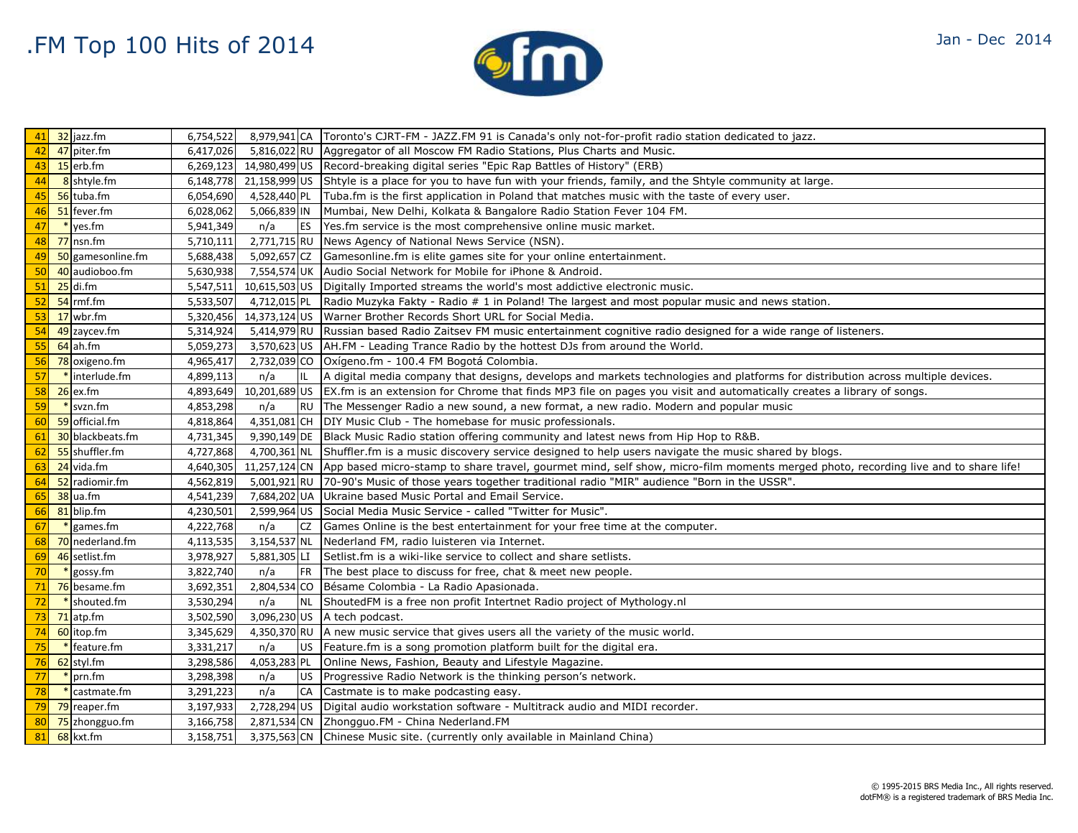

| Jan - Dec 2014 |  |
|----------------|--|
|                |  |

| 41 | 32 jazz.fm        | 6,754,522 |              |            | 8,979,941 CA   Toronto's CJRT-FM - JAZZ.FM 91 is Canada's only not-for-profit radio station dedicated to jazz.                                     |
|----|-------------------|-----------|--------------|------------|----------------------------------------------------------------------------------------------------------------------------------------------------|
| 42 | 47 piter.fm       | 6,417,026 |              |            | 5,816,022 RU   Aggregator of all Moscow FM Radio Stations, Plus Charts and Music.                                                                  |
| 43 | $15$ erb.fm       |           |              |            | 6,269,123 14,980,499 US Record-breaking digital series "Epic Rap Battles of History" (ERB)                                                         |
| 44 | 8 shtyle.fm       |           |              |            | 6,148,778 21,158,999 US Shtyle is a place for you to have fun with your friends, family, and the Shtyle community at large.                        |
| 45 | 56 tuba.fm        | 6,054,690 | 4,528,440 PL |            | Tuba.fm is the first application in Poland that matches music with the taste of every user.                                                        |
| 46 | 51 fever.fm       | 6,028,062 | 5,066,839 IN |            | Mumbai, New Delhi, Kolkata & Bangalore Radio Station Fever 104 FM.                                                                                 |
| 47 | $*$ yes.fm        | 5,941,349 | n/a          | <b>IES</b> | Yes.fm service is the most comprehensive online music market.                                                                                      |
| 48 | $77$ nsn.fm       | 5,710,111 |              |            | 2,771,715 RU News Agency of National News Service (NSN).                                                                                           |
| 49 | 50 gamesonline.fm | 5,688,438 |              |            | 5,092,657 CZ Gamesonline.fm is elite games site for your online entertainment.                                                                     |
| 50 | 40 audioboo.fm    | 5,630,938 |              |            | 7,554,574 UK Audio Social Network for Mobile for iPhone & Android.                                                                                 |
| 51 | $25$ di.fm        | 5,547,511 |              |            | 10,615,503 US Digitally Imported streams the world's most addictive electronic music.                                                              |
| 52 | $54$ rmf.fm       | 5,533,507 |              |            | 4,712,015 PL Radio Muzyka Fakty - Radio # 1 in Poland! The largest and most popular music and news station.                                        |
| 53 | $17$ wbr.fm       |           |              |            | 5,320,456 14,373,124 US   Warner Brother Records Short URL for Social Media.                                                                       |
| 54 | 49 zaycev.fm      | 5,314,924 |              |            | 5,414,979 RU Russian based Radio Zaitsev FM music entertainment cognitive radio designed for a wide range of listeners.                            |
| 55 | $64$ ah.fm        | 5,059,273 |              |            | 3,570,623 US   AH. FM - Leading Trance Radio by the hottest DJs from around the World.                                                             |
| 56 | 78 oxigeno.fm     | 4,965,417 |              |            | 2,732,039 CO   Oxígeno.fm - 100.4 FM Bogotá Colombia.                                                                                              |
| 57 | * interlude.fm    | 4,899,113 | n/a          | IL         | A digital media company that designs, develops and markets technologies and platforms for distribution across multiple devices.                    |
| 58 | $26$ ex.fm        | 4,893,649 |              |            | 10,201,689 US   EX.fm is an extension for Chrome that finds MP3 file on pages you visit and automatically creates a library of songs.              |
| 59 | $\ast$ svzn.fm    | 4,853,298 | n/a          | <b>RU</b>  | The Messenger Radio a new sound, a new format, a new radio. Modern and popular music                                                               |
| 60 | 59 official.fm    | 4,818,864 |              |            | 4,351,081 CH DIY Music Club - The homebase for music professionals.                                                                                |
| 61 | 30 blackbeats.fm  | 4,731,345 |              |            | 9,390,149 DE Black Music Radio station offering community and latest news from Hip Hop to R&B.                                                     |
| 62 | 55 shuffler.fm    | 4,727,868 |              |            | 4,700,361 NL Shuffler.fm is a music discovery service designed to help users navigate the music shared by blogs.                                   |
| 63 | 24 vida.fm        | 4,640,305 |              |            | 11,257,124 CN   App based micro-stamp to share travel, gourmet mind, self show, micro-film moments merged photo, recording live and to share life! |
| 64 | 52 radiomir.fm    | 4,562,819 |              |            | 5,001,921 RU 70-90's Music of those years together traditional radio "MIR" audience "Born in the USSR".                                            |
| 65 | 38 ua.fm          | 4,541,239 |              |            | 7,684,202 UA Ukraine based Music Portal and Email Service.                                                                                         |
| 66 | 81 blip.fm        | 4,230,501 |              |            | 2,599,964 US Social Media Music Service - called "Twitter for Music".                                                                              |
| 67 | games.fm          | 4,222,768 | n/a          | CZ         | Games Online is the best entertainment for your free time at the computer.                                                                         |
| 68 | 70 nederland.fm   | 4,113,535 |              |            | 3,154,537 NL Nederland FM, radio luisteren via Internet.                                                                                           |
| 69 | 46 setlist.fm     | 3,978,927 | 5,881,305 LI |            | Setlist.fm is a wiki-like service to collect and share setlists.                                                                                   |
| 70 | $*$ gossy.fm      | 3,822,740 | n/a          | <b>IFR</b> | The best place to discuss for free, chat & meet new people.                                                                                        |
| 71 | 76 besame.fm      | 3,692,351 | 2,804,534 CO |            | Bésame Colombia - La Radio Apasionada.                                                                                                             |
| 72 | * shouted.fm      | 3,530,294 | n/a          | <b>NL</b>  | ShoutedFM is a free non profit Intertnet Radio project of Mythology.nl                                                                             |
| 73 | $71$ atp.fm       | 3,502,590 |              |            | 3,096,230 US   A tech podcast.                                                                                                                     |
| 74 | 60 itop.fm        | 3,345,629 |              |            | $4,350,370$ RU A new music service that gives users all the variety of the music world.                                                            |
| 75 | $*$ feature.fm    | 3,331,217 | n/a          |            | US   Feature.fm is a song promotion platform built for the digital era.                                                                            |
| 76 | 62 styl.fm        | 3,298,586 | 4,053,283 PL |            | Online News, Fashion, Beauty and Lifestyle Magazine.                                                                                               |
| 77 | prn.fm            | 3,298,398 | n/a          | <b>US</b>  | Progressive Radio Network is the thinking person's network.                                                                                        |
| 78 | castmate.fm       | 3,291,223 | n/a          | <b>CA</b>  | Castmate is to make podcasting easy.                                                                                                               |
| 79 | 79 reaper.fm      | 3,197,933 |              |            | 2,728,294 US Digital audio workstation software - Multitrack audio and MIDI recorder.                                                              |
| 80 | 75 zhongguo.fm    | 3,166,758 |              |            | 2,871,534 CN Zhongguo.FM - China Nederland.FM                                                                                                      |
| 81 | 68 kxt.fm         | 3,158,751 |              |            | 3,375,563 CN Chinese Music site. (currently only available in Mainland China)                                                                      |